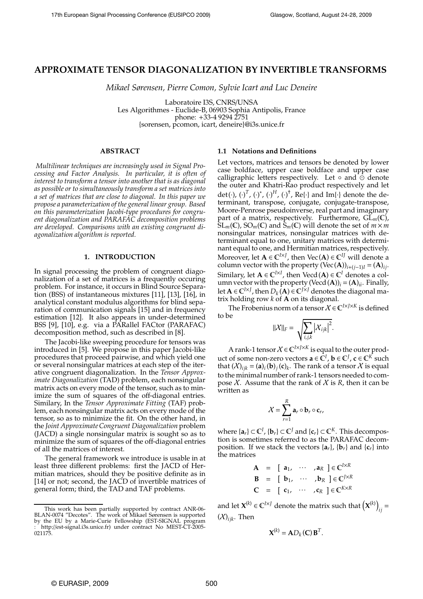# **APPROXIMATE TENSOR DIAGONALIZATION BY INVERTIBLE TRANSFORMS**

*Mikael Sørensen, Pierre Comon, Sylvie Icart and Luc Deneire*

Laboratoire I3S, CNRS/UNSA

Les Algorithmes - Euclide-B, 06903 Sophia Antipolis, France phone: +33-4 9294 2751 {sorensen, pcomon, icart, deneire}@i3s.unice.fr

## **ABSTRACT**

*Multilinear techniques are increasingly used in Signal Processing and Factor Analysis. In particular, it is often of interest to transform a tensor into another that is as diagonal as possible or to simultaneously transform a set matrices into a set of matrices that are close to diagonal. In this paper we propose a parameterization of the general linear group. Based on this parameterization Jacobi-type procedures for congruent diagonalization and PARAFAC decomposition problems are developed. Comparisons with an existing congruent diagonalization algorithm is reported.*

## **1. INTRODUCTION**

In signal processing the problem of congruent diagonalization of a set of matrices is a frequently occuring problem. For instance, it occurs in Blind Source Separation (BSS) of instantaneous mixtures [11], [13], [16], in analytical constant modulus algorithms for blind separation of communication signals [15] and in frequency estimation [12]. It also appears in under-determined BSS [9], [10], e.g. via a PARallel FACtor (PARAFAC) decomposition method, such as described in [8].

The Jacobi-like sweeping procedure for tensors was introduced in [5]. We propose in this paper Jacobi-like procedures that proceed pairwise, and which yield one or several nonsingular matrices at each step of the iterative congruent diagonalization. In the *Tensor Approximate Diagonalization* (TAD) problem, each nonsingular matrix acts on every mode of the tensor, such as to minimize the sum of squares of the off-diagonal entries. Similary, In the *Tensor Approximate Fitting* (TAF) problem, each nonsingular matrix acts on every mode of the tensor, so as to minimize the fit. On the other hand, in the *Joint Approximate Congruent Diagonalization* problem (JACD) a single nonsingular matrix is sought so as to minimize the sum of squares of the off-diagonal entries of all the matrices of interest.

The general framework we introduce is usable in at least three different problems: first the JACD of Hermitian matrices, should they be positive definite as in [14] or not; second, the JACD of invertible matrices of general form; third, the TAD and TAF problems.

## **1.1 Notations and Definitions**

Let vectors, matrices and tensors be denoted by lower case boldface, upper case boldface and upper case calligraphic letters respectively. Let ◦ and ⊙ denote the outer and Khatri-Rao product respectively and let det(·),  $(\cdot)^T$ ,  $(\cdot)^*$ ,  $(\cdot)^H$ ,  $(\cdot)^{\dagger}$ , Re{·} and Im{·} denote the determinant, transpose, conjugate, conjugate-transpose, Moore-Penrose pseudoinverse, real part and imaginary part of a matrix, respectively. Furthermore,  $GL_m(\mathbb{C})$ ,  $\widetilde{\text{SL}}_m(\mathbb{C})$ ,  $\text{SO}_m(\mathbb{C})$  and  $\widetilde{\text{S}}_m(\mathbb{C})$  will denote the set of  $m \times m$ nonsingular matrices, nonsingular matrices with determinant equal to one, unitary matrices with determinant equal to one, and Hermitian matrices, respectively. Moreover, let  $A \in \mathbb{C}^{I \times J}$ , then  $Vec(A) \in \mathbb{C}^{I}$  will denote a column vector with the property (Vec(**A**))<sub>*i*+(*j*−1)*I*</u> = (**A**)<sub>*ij*</sub>.</sub> Similary, let  $A \in \mathbb{C}^{I \times I}$ , then  $\text{Vecd}(A) \in \mathbb{C}^{I}$  denotes a column vector with the property (Vecd  $(\mathbf{A})_i = (\mathbf{A})_{ii}$ . Finally, let  $\mathbf{A} \in \mathbb{C}^{I \times J}$ , then  $D_k(\mathbf{A}) \in \mathbb{C}^{J \times J}$  denotes the diagonal matrix holding row *k* of **A** on its diagonal.

The Frobenius norm of a tensor  $\mathcal{X} \in \mathbb{C}^{I \times J \times K}$  is defined to be

$$
||X||_F = \sqrt{\sum_{i,j,k} |X_{ijk}|^2}.
$$

A rank-1 tensor  $X \in \mathbb{C}^{I \times J \times K}$  is equal to the outer product of some non-zero vectors  $\mathbf{a} \in \mathbb{C}^I$ ,  $\mathbf{b} \in \mathbb{C}^J$ ,  $\mathbf{c} \in \mathbb{C}^K$  such that  $(X)_{ijk} = (a)_i (b)_j (c)_k$ . The rank of a tensor X is equal to the minimal number of rank-1 tensors needed to compose  $X$ . Assume that the rank of  $X$  is  $R$ , then it can be written as

$$
X=\sum_{r=1}^R \mathbf{a}_r \circ \mathbf{b}_r \circ \mathbf{c}_r,
$$

where  $\{a_r\} \subset \mathbb{C}^I$ ,  $\{b_r\} \subset \mathbb{C}^J$  and  $\{c_r\} \subset \mathbb{C}^K$ . This decompostion is sometimes referred to as the PARAFAC decomposition. If we stack the vectors  $\{a_r\}$ ,  $\{b_r\}$  and  $\{c_r\}$  into the matrices

$$
\begin{array}{rcl}\n\mathbf{A} & = & \left[ \begin{array}{cccc} \mathbf{a}_1, & \cdots & \mathbf{a}_R \end{array} \right] \in \mathbb{C}^{I \times R} \\
\mathbf{B} & = & \left[ \begin{array}{cccc} \mathbf{b}_1, & \cdots & \mathbf{b}_R \end{array} \right] \in \mathbb{C}^{J \times R} \\
\mathbf{C} & = & \left[ \begin{array}{cccc} \mathbf{c}_1, & \cdots & \mathbf{c}_R \end{array} \right] \in \mathbb{C}^{K \times R}\n\end{array}
$$

and let  $\mathbf{X}^{(k)} \in \mathbb{C}^{I \times J}$  denote the matrix such that  $\left(\mathbf{X}^{(k)}\right)_{ij} =$  $(X)_{ijk}$ . Then

$$
\mathbf{X}^{(k)} = \mathbf{A} D_k(\mathbf{C}) \mathbf{B}^T.
$$

This work has been partially supported by contract ANR-06- BLAN-0074 "Decotes". The work of Mikael Sørensen is supported by the EU by a Marie-Curie Fellowship (EST-SIGNAL program : http://est-signal.i3s.unice.fr) under contract No MEST-CT-2005- 021175.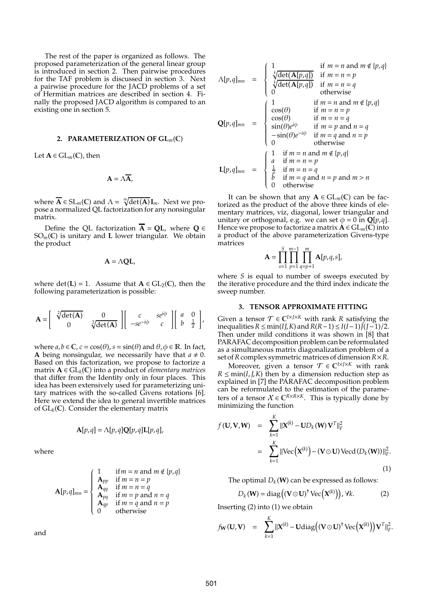The rest of the paper is organized as follows. The proposed parameterization of the general linear group is introduced in section 2. Then pairwise procedures for the TAF problem is discussed in section 3. Next a pairwise procedure for the JACD problems of a set of Hermitian matrices are described in section 4. Finally the proposed JACD algorithm is compared to an existing one in section 5.

#### **2. PARAMETERIZATION OF GL***m*(C)

Let  $A \in GL_m(\mathbb{C})$ , then

$$
\mathbf{A} = \Lambda \overline{\mathbf{A}},
$$

where  $\overline{A} \in SL_m(\mathbb{C})$  and  $\Lambda = \sqrt[m]{\text{det}(A)} I_m$ . Next we propose a normalized QL factorization for any nonsingular matrix.

Define the QL factorization  $\overline{A} = QL$ , where  $Q \in$  $SO_m(\mathbb{C})$  is unitary and **L** lower triangular. We obtain the product

$$
A = \Lambda QL,
$$

where  $det(L) = 1$ . Assume that  $A \in GL_2(\mathbb{C})$ , then the following parameterization is possible:

$$
\mathbf{A} = \begin{bmatrix} \sqrt[2]{\det(\mathbf{A})} & 0 \\ 0 & \sqrt[2]{\det(\mathbf{A})} \end{bmatrix} \begin{bmatrix} c & se^{i\phi} \\ -se^{-i\phi} & c \end{bmatrix} \begin{bmatrix} a & 0 \\ b & \frac{1}{a} \end{bmatrix},
$$

where  $a, b \in \mathbb{C}$ ,  $c = \cos(\theta)$ ,  $s = \sin(\theta)$  and  $\theta, \phi \in \mathbb{R}$ . In fact, **A** being nonsingular, we necessarily have that  $a \neq 0$ . Based on this factorization, we propose to factorize a matrix **A** ∈ GL*<sup>k</sup>* (C) into a product of *elementary matrices* that differ from the Identity only in four places. This idea has been extensively used for parameterizing unitary matrices with the so-called Givens rotations [6]. Here we extend the idea to general invertible matrices of  $GL_k(\mathbb{C})$ . Consider the elementary matrix

$$
\mathbf{A}[p,q] = \Lambda[p,q] \mathbf{Q}[p,q] \mathbf{L}[p,q],
$$

where

$$
\mathbf{A}[p,q]_{mn} = \begin{cases} 1 & \text{if } m = n \text{ and } m \notin \{p,q\} \\ \mathbf{A}_{pq} & \text{if } m = n = p \\ \mathbf{A}_{qq} & \text{if } m = n = q \\ \mathbf{A}_{pq} & \text{if } m = p \text{ and } n = q \\ \mathbf{A}_{qp} & \text{if } m = q \text{ and } n = p \\ 0 & \text{otherwise} \end{cases}
$$

and

$$
\Lambda[p,q]_{mn} = \begin{cases}\n1 & \text{if } m = n \text{ and } m \notin \{p,q\} \\
\sqrt[k]{\det(\mathbf{A}[p,q])} & \text{if } m = n = p \\
\sqrt[k]{\det(\mathbf{A}[p,q])} & \text{if } m = n = q \\
0 & \text{otherwise}\n\end{cases}
$$
\n
$$
\mathbf{Q}[p,q]_{mn} = \begin{cases}\n1 & \text{if } m = n \text{ and } m \notin \{p,q\} \\
\cos(\theta) & \text{if } m = n = p \\
\cos(\theta) & \text{if } m = n = q \\
\sin(\theta)e^{i\phi} & \text{if } m = p \text{ and } n = q \\
- \sin(\theta)e^{-i\phi} & \text{if } m = q \text{ and } n = p \\
0 & \text{otherwise}\n\end{cases}
$$
\n
$$
\mathbf{L}[p,q]_{mn} = \begin{cases}\n1 & \text{if } m = n \text{ and } m \notin \{p,q\} \\
\frac{1}{q} & \text{if } m = n = p \\
\frac{1}{q} & \text{if } m = n = q \\
0 & \text{otherwise}\n\end{cases}
$$
\n
$$
\mathbf{L}[p,q]_{mn} = \begin{cases}\n1 & \text{if } m = n \text{ and } m \notin \{p,q\} \\
\frac{1}{q} & \text{if } m = n = q \\
0 & \text{otherwise}\n\end{cases}
$$

It can be shown that any  $\mathbf{A}$  ∈  $GL_m(\mathbb{C})$  can be factorized as the product of the above three kinds of elementary matrices, viz, diagonal, lower triangular and unitary or orthogonal, e.g. we can set  $\phi = 0$  in  $\mathbb{Q}[p,q]$ . Hence we propose to factorize a matrix  $\mathbf{A} \in GL_m(\mathbb{C})$  into a product of the above parameterization Givens-type matrices

$$
\mathbf{A} = \prod_{s=1}^{S} \prod_{p=1}^{m-1} \prod_{q=p+1}^{m} \mathbf{A}[p,q,s],
$$

where *S* is equal to number of sweeps executed by the iterative procedure and the third index indicate the sweep number.

## **3. TENSOR APPROXIMATE FITTING**

Given a tensor  $\mathcal{T} \in \mathbb{C}^{I \times J \times K}$  with rank *R* satisfying the inequalities*R* ≤ min(*IJ*,*K*) and*R*(*R*−1)≤ *I*(*I*−1)*J*(*J*−1)/2. Then under mild conditions it was shown in [8] that PARAFAC decomposition problem can be reformulated as a simultaneous matrix diagonalization problem of a set of*R*complex symmetric matrices of dimension*R*×*R*.

Moreover, given a tensor  $\mathcal{T} \in \mathbb{C}^{I \times J \times K}$  with rank  $R \leq min(I, J, K)$  then by a dimension reduction step as explained in [7] the PARAFAC decomposition problem can be reformulated to the estimation of the parameters of a tensor  $X \in \mathbb{C}^{R \times R \times K}$ . This is typically done by minimizing the function

$$
f(\mathbf{U}, \mathbf{V}, \mathbf{W}) = \sum_{k=1}^{K} ||\mathbf{X}^{(k)} - \mathbf{U}D_k(\mathbf{W})\mathbf{V}^T||_F^2
$$
  
= 
$$
\sum_{k=1}^{K} ||\text{Vec}(\mathbf{X}^{(k)}) - (\mathbf{V} \odot \mathbf{U})\text{Vecd}(D_k(\mathbf{W}))||_F^2.
$$
 (1)

The optimal  $D_k(\mathbf{W})$  can be expressed as follows:

$$
D_k(\mathbf{W}) = \text{diag}((\mathbf{V} \odot \mathbf{U})^{\dagger} \text{Vec}(\mathbf{X}^{(k)})), \forall k. \tag{2}
$$

Inserting (2) into (1) we obtain

$$
f_{\mathbf{W}}(\mathbf{U}, \mathbf{V}) = \sum_{k=1}^{K} ||\mathbf{X}^{(k)} - \mathbf{U} \text{diag}((\mathbf{V} \odot \mathbf{U})^{\dagger} \text{Vec}(\mathbf{X}^{(k)})) \mathbf{V}^{T}||_{F}^{2}.
$$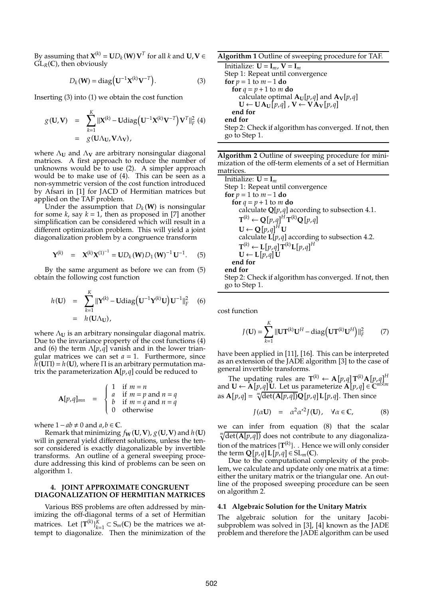By assuming that  $\mathbf{X}^{(k)} = \mathbf{U}D_k(\mathbf{W})\mathbf{V}^T$  for all *k* and  $\mathbf{U}, \mathbf{V} \in$  $GL_R(\mathbb{C})$ , then obviously

$$
D_k(\mathbf{W}) = \text{diag}\left(\mathbf{U}^{-1}\mathbf{X}^{(k)}\mathbf{V}^{-T}\right). \tag{3}
$$

Inserting (3) into (1) we obtain the cost function

$$
g(\mathbf{U}, \mathbf{V}) = \sum_{k=1}^{K} ||\mathbf{X}^{(k)} - \mathbf{U} \text{diag}\left(\mathbf{U}^{-1} \mathbf{X}^{(k)} \mathbf{V}^{-T}\right) \mathbf{V}^{T}||_{F}^{2} (4)
$$

$$
= g(\mathbf{U} \Lambda_{\mathbf{U}}, \mathbf{V} \Lambda_{\mathbf{V}}),
$$

where  $\Lambda$ **U** and  $\Lambda$ **V** are arbitrary nonsingular diagonal matrices. A first approach to reduce the number of unknowns would be to use (2). A simpler approach would be to make use of (4). This can be seen as a non-symmetric version of the cost function introduced by Afsari in [1] for JACD of Hermitian matrices but applied on the TAF problem.

Under the assumption that  $D_k(\mathbf{W})$  is nonsingular for some *k*, say  $k = 1$ , then as proposed in [7] another simplification can be considered which will result in a different optimization problem. This will yield a joint diagonalization problem by a congruence transform

$$
\mathbf{Y}^{(k)} = \mathbf{X}^{(k)} \mathbf{X}^{(1)^{-1}} = \mathbf{U} D_k(\mathbf{W}) D_1(\mathbf{W})^{-1} \mathbf{U}^{-1}.
$$
 (5)

By the same argument as before we can from (5) obtain the following cost function

$$
h(\mathbf{U}) = \sum_{k=1}^{K} ||\mathbf{Y}^{(k)} - \mathbf{U} \text{diag}\left(\mathbf{U}^{-1} \mathbf{Y}^{(k)} \mathbf{U}\right) \mathbf{U}^{-1}||_F^2 \quad (6)
$$
  
=  $h(\mathbf{U} \Lambda_{\mathbf{U}}),$ 

where  $\Lambda$ **U** is an arbitrary nonsingular diagonal matrix. Due to the invariance property of the cost functions (4) and (6) the term  $\Lambda[p,q]$  vanish and in the lower triangular matrices we can set  $a = 1$ . Furthermore, since  $h(\mathbf{U}\Pi) = h(\mathbf{U})$ , where  $\Pi$  is an arbitrary permutation matrix the parameterization  $A[p,q]$  could be reduced to

$$
\mathbf{A}[p,q]_{mn} = \begin{cases} 1 & \text{if } m = n \\ a & \text{if } m = p \text{ and } n = q \\ b & \text{if } m = q \text{ and } n = q \\ 0 & \text{otherwise} \end{cases}
$$

where  $1 - ab \neq 0$  and  $a, b \in \mathbb{C}$ .

Remark that minimizing  $f_W(U, V)$ ,  $g(U, V)$  and  $h(U)$ will in general yield different solutions, unless the tensor considered is exactly diagonalizable by invertible transforms. An outline of a general sweeping procedure addressing this kind of problems can be seen on algorithm 1.

## **4. JOINT APPROXIMATE CONGRUENT DIAGONALIZATION OF HERMITIAN MATRICES**

Various BSS problems are often addressed by minimizing the off-diagonal terms of a set of Hermitian matrices. Let  $\{\mathbf{T}^{(k)}\}_{k=1}^K \subset \mathbf{S}_m(\mathbb{C})$  be the matrices we attempt to diagonalize. Then the minimization of the **Algorithm 1** Outline of sweeping procedure for TAF.

Initialize:  $U = I_m$ ,  $V = I_m$ Step 1: Repeat until convergence  $f$ **or**  $p = 1$  to  $m - 1$  **do for**  $q = p + 1$  to *m* **do** calculate optimal  $A_U[p,q]$  and  $A_V[p,q]$  $\mathbf{U} \leftarrow \mathbf{U} \mathbf{A}_{\mathbf{U}}[p,q]$  ,  $\mathbf{V} \leftarrow \mathbf{V} \mathbf{A}_{\mathbf{V}}[p,q]$ **end for end for** Step 2: Check if algorithm has converged. If not, then go to Step 1.

**Algorithm 2** Outline of sweeping procedure for minimization of the off-term elements of a set of Hermitian matrices.

Initialize:  $U = I_m$ Step 1: Repeat until convergence  $f$ **or**  $p = 1$  to  $m - 1$  **do for**  $q = p + 1$  to *m* **do** calculate **Q**[*p*,*q*] according to subsection 4.1.  $\mathbf{T}^{(k)} \leftarrow \mathbf{Q}\left[p,q\right]^H \mathbf{T}^{(k)} \mathbf{Q}\left[p,q\right]$  $\mathbf{U} \leftarrow \mathbf{Q}\left[p,q\right]^{H} \mathbf{U}$ calculate **L**[*p*,*q*] according to subsection 4.2.  $\mathbf{T}^{(k)} \leftarrow \mathbf{L}\left[p,q\right]\mathbf{T}^{(k)}\mathbf{L}\left[p,q\right]^{H}$  $\mathbf{U} \leftarrow \mathbf{L}[p,q] \mathbf{U}$ **end for end for** Step 2: Check if algorithm has converged. If not, then

go to Step 1.

cost function

$$
J(\mathbf{U}) = \sum_{k=1}^{K} ||\mathbf{U}\mathbf{T}^{(k)}\mathbf{U}^{H} - \text{diag}(\mathbf{U}\mathbf{T}^{(k)}\mathbf{U}^{H})||_{F}^{2}
$$
 (7)

have been applied in [11], [16]. This can be interpreted as an extension of the JADE algorithm [3] to the case of general invertible transforms.

The updating rules are  $\textbf{T}^{(k)} \leftarrow \textbf{A}\left[p,q\right] \textbf{T}^{(k)} \textbf{A}\left[p,q\right]^{H}$ and  $\mathbf{U} \leftarrow \mathbf{\hat{A}}[p,q]\breve{\mathbf{U}}$ . Let us parameterize  $\mathbf{A}[p,q] \in \mathbb{C}^{m \times m}$ as  $\mathbf{A}[p,q] = \sqrt[m]{\text{det}(\mathbf{A}[p,q])}\mathbf{Q}[p,q]\mathbf{L}[p,q]$ . Then since

$$
J(\alpha \mathbf{U}) = \alpha^2 \alpha^{*2} J(\mathbf{U}), \quad \forall \alpha \in \mathbb{C}, \tag{8}
$$

we can infer from equation (8) that the scalar  $\sqrt[m]{\det(A[p,q])}$  does not contribute to any diagonalization of the matrices {**T** (*k*) }. . Hence we will only consider the term  $\mathbf{Q}[p,q]\mathbf{L}[p,q] \in SL_m(\mathbb{C})$ .

Due to the computational complexity of the problem, we calculate and update only one matrix at a time: either the unitary matrix or the triangular one. An outline of the proposed sweeping procedure can be seen on algorithm 2.

## **4.1 Algebraic Solution for the Unitary Matrix**

The algebraic solution for the unitary Jacobisubproblem was solved in [3], [4] known as the JADE problem and therefore the JADE algorithm can be used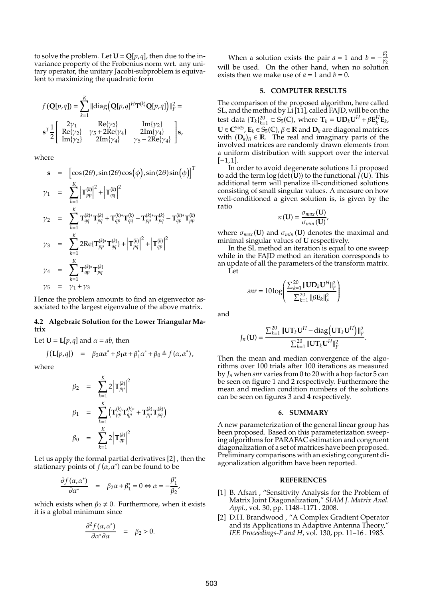to solve the problem. Let  $U = Q[p,q]$ , then due to the invariance property of the Frobenius norm wrt. any unitary operator, the unitary Jacobi-subproblem is equivalent to maximizing the quadratic form

$$
f(\mathbf{Q}[p,q]) = \sum_{k=1}^{K} ||\text{diag}\left(\mathbf{Q}[p,q]^{H}\mathbf{T}^{(k)}\mathbf{Q}[p,q]\right)||_{F}^{2} =
$$
\n
$$
\mathbf{s}^{T} \frac{1}{2} \begin{bmatrix} 2\gamma_{1} & \text{Re}\{\gamma_{2}\} & \text{Im}\{\gamma_{2}\} \\ \text{Re}\{\gamma_{2}\} & \gamma_{5} + 2\text{Re}\{\gamma_{4}\} & 2\text{Im}\{\gamma_{4}\} \\ \text{Im}\{\gamma_{2}\} & 2\text{Im}\{\gamma_{4}\} & \gamma_{5} - 2\text{Re}\{\gamma_{4}\} \end{bmatrix} \mathbf{s},
$$

where

$$
\mathbf{s} = [\cos(2\theta), \sin(2\theta)\cos(\phi), \sin(2\theta)\sin(\phi)]^{T}
$$
\n
$$
\gamma_{1} = \sum_{k=1}^{K} |\mathbf{T}_{pp}^{(k)}|^{2} + |\mathbf{T}_{qq}^{(k)}|^{2}
$$
\n
$$
\gamma_{2} = \sum_{k=1}^{K} \mathbf{T}_{qq}^{(k)*} \mathbf{T}_{pq}^{(k)} + \mathbf{T}_{qp}^{(k)*} \mathbf{T}_{qq}^{(k)} - \mathbf{T}_{pp}^{(k)*} \mathbf{T}_{pq}^{(k)} - \mathbf{T}_{qp}^{(k)*} \mathbf{T}_{pp}^{(k)}
$$
\n
$$
\gamma_{3} = \sum_{k=1}^{K} 2\text{Re}\{\mathbf{T}_{pp}^{(k)*} \mathbf{T}_{qq}^{(k)}\} + \left|\mathbf{T}_{pq}^{(k)}\right|^{2} + \left|\mathbf{T}_{qp}^{(k)}\right|^{2}
$$
\n
$$
\gamma_{4} = \sum_{k=1}^{K} \mathbf{T}_{qp}^{(k)*} \mathbf{T}_{pq}^{(k)}
$$
\n
$$
\gamma_{5} = \gamma_{1} + \gamma_{3}
$$

Hence the problem amounts to find an eigenvector associated to the largest eigenvalue of the above matrix.

# **4.2 Algebraic Solution for the Lower Triangular Matrix**

Let  $U = L[p,q]$  and  $\alpha = ab$ , then

$$
J(\mathbf{L}[p,q]) = \beta_2 \alpha \alpha^* + \beta_1 \alpha + \beta_1^* \alpha^* + \beta_0 \triangleq f(\alpha, \alpha^*),
$$

where

$$
\beta_2 = \sum_{k=1}^{K} 2 \left| \mathbf{T}_{pp}^{(k)} \right|^2
$$
  
\n
$$
\beta_1 = \sum_{k=1}^{K} \left( \mathbf{T}_{pp}^{(k)} \mathbf{T}_{qp}^{(k)*} + \mathbf{T}_{pp}^{(k)} \mathbf{T}_{pq}^{(k)} \right)
$$
  
\n
$$
\beta_0 = \sum_{k=1}^{K} 2 \left| \mathbf{T}_{qp}^{(k)} \right|^2
$$

Let us apply the formal partial derivatives [2] , then the stationary points of  $f(\alpha, \alpha^*)$  can be found to be

$$
\frac{\partial f(\alpha, \alpha^*)}{\partial \alpha^*} = \beta_2 \alpha + \beta_1^* = 0 \Leftrightarrow \alpha = -\frac{\beta_1^*}{\beta_2},
$$

which exists when  $\beta_2 \neq 0$ . Furthermore, when it exists it is a global minimum since

$$
\frac{\partial^2 f(\alpha, \alpha^*)}{\partial \alpha^* \partial \alpha} = \beta_2 > 0.
$$

When a solution exists the pair  $a = 1$  and  $b = -\frac{\beta_1^*}{\beta_2^*}$ will be used. On the other hand, when no solution exists then we make use of  $a = 1$  and  $b = 0$ .

## **5. COMPUTER RESULTS**

The comparison of the proposed algorithm, here called SL, and the method by Li [11], called FAJD, will be on the test data  ${\{T_k\}}_{k=1}^{20} \subset S_5(\mathbb{C})$ , where  $T_k = \mathbf{U} \mathbf{D}_k \mathbf{U}^H + \beta \mathbf{E}_k^H \mathbf{E}_k$ ,  $\mathbf{U} \in \mathbb{C}^{5 \times 5}$ ,  $\mathbf{E}_k \in S_5(\mathbb{C})$ ,  $\beta \in \mathbb{R}$  and  $\mathbf{D}_k$  are diagonal matrices with  $(D_k)_{ii} \in \mathbb{R}$ . The real and imaginary parts of the involved matrices are randomly drawn elements from a uniform distribution with support over the interval [−1,1].

In order to avoid degenerate solutions Li proposed to add the term  $log(det(U))$  to the functional  $\bar{J}(U)$ . This additional term will penalize ill-conditioned solutions consisting of small singular values. A measure on how well-conditioned a given solution is, is given by the ratio

$$
\kappa(\mathbf{U}) = \frac{\sigma_{max}(\mathbf{U})}{\sigma_{min}(\mathbf{U})},
$$

where  $\sigma_{max}$ (**U**) and  $\sigma_{min}$ (**U**) denotes the maximal and minimal singular values of **U** respectively.

In the SL method an iteration is equal to one sweep while in the FAJD method an iteration corresponds to an update of all the parameters of the transform matrix. Let

$$
snr = 10\log\left(\frac{\sum_{k=1}^{20} ||\mathbf{U}\mathbf{D}_{k}\mathbf{U}^{H}||_{F}^{2}}{\sum_{k=1}^{20} ||\beta \mathbf{E}_{k}||_{F}^{2}}\right)
$$

and

$$
J_n(\mathbf{U}) = \frac{\sum_{k=1}^{20} ||\mathbf{U}\mathbf{T}_k\mathbf{U}^H - \text{diag}\left(\mathbf{U}\mathbf{T}_k\mathbf{U}^H\right)||_F^2}{\sum_{k=1}^{20} ||\mathbf{U}\mathbf{T}_k\mathbf{U}^H||_F^2}
$$

.

Then the mean and median convergence of the algorithms over 100 trials after 100 iterations as measured by *J<sup>n</sup>* when *snr* varies from 0 to 20 with a hop factor 5 can be seen on figure 1 and 2 respectively. Furthermore the mean and median condition numbers of the solutions can be seen on figures 3 and 4 respectively.

#### **6. SUMMARY**

A new parameterization of the general linear group has been proposed. Based on this parameterization sweeping algorithms for PARAFAC estimation and congruent diagonalization of a set of matrices have been proposed. Preliminary comparisons with an existing congurent diagonalization algorithm have been reported.

## **REFERENCES**

- [1] B. Afsari , "Sensitivity Analysis for the Problem of Matrix Joint Diagonalization," *SIAM J. Matrix Anal. Appl.*, vol. 30, pp. 1148–1171 . 2008.
- [2] D.H. Brandwood , "A Complex Gradient Operator and its Applications in Adaptive Antenna Theory," *IEE Proceedings-F and H*, vol. 130, pp. 11–16 . 1983.